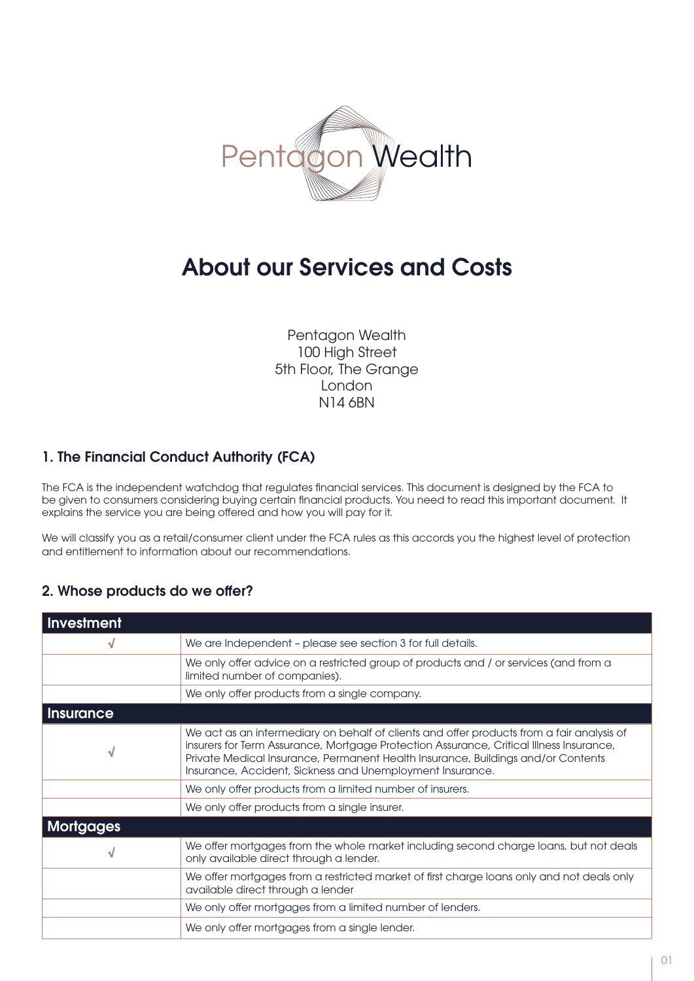

# About our Services and Costs

Pentagon Wealth 100 High Street 5th Floor, The Grange London N14 6BN

## 1. The Financial Conduct Authority (FCA)

The FCA is the independent watchdog that regulates financial services. This document is designed by the FCA to be given to consumers considering buying certain financial products. You need to read this important document. It explains the service you are being offered and how you will pay for it.

We will classify you as a retail/consumer client under the FCA rules as this accords you the highest level of protection and entitlement to information about our recommendations.

## 2. Whose products do we offer?

| Investment       |                                                                                                                                                                                                                                                                                                                                       |
|------------------|---------------------------------------------------------------------------------------------------------------------------------------------------------------------------------------------------------------------------------------------------------------------------------------------------------------------------------------|
| N                | We are Independent - please see section 3 for full details.                                                                                                                                                                                                                                                                           |
|                  | We only offer advice on a restricted group of products and / or services (and from a<br>limited number of companies).                                                                                                                                                                                                                 |
|                  | We only offer products from a single company.                                                                                                                                                                                                                                                                                         |
| <b>Insurance</b> |                                                                                                                                                                                                                                                                                                                                       |
| N                | We act as an intermediary on behalf of clients and offer products from a fair analysis of<br>insurers for Term Assurance, Mortgage Protection Assurance, Critical Illness Insurance,<br>Private Medical Insurance, Permanent Health Insurance, Buildings and/or Contents<br>Insurance, Accident, Sickness and Unemployment Insurance. |
|                  | We only offer products from a limited number of insurers.                                                                                                                                                                                                                                                                             |
|                  | We only offer products from a single insurer.                                                                                                                                                                                                                                                                                         |
| <b>Mortgages</b> |                                                                                                                                                                                                                                                                                                                                       |
| N                | We offer mortgages from the whole market including second charge loans, but not deals<br>only available direct through a lender.                                                                                                                                                                                                      |
|                  | We offer mortgages from a restricted market of first charge loans only and not deals only<br>available direct through a lender                                                                                                                                                                                                        |
|                  | We only offer mortgages from a limited number of lenders.                                                                                                                                                                                                                                                                             |
|                  | We only offer mortgages from a single lender.                                                                                                                                                                                                                                                                                         |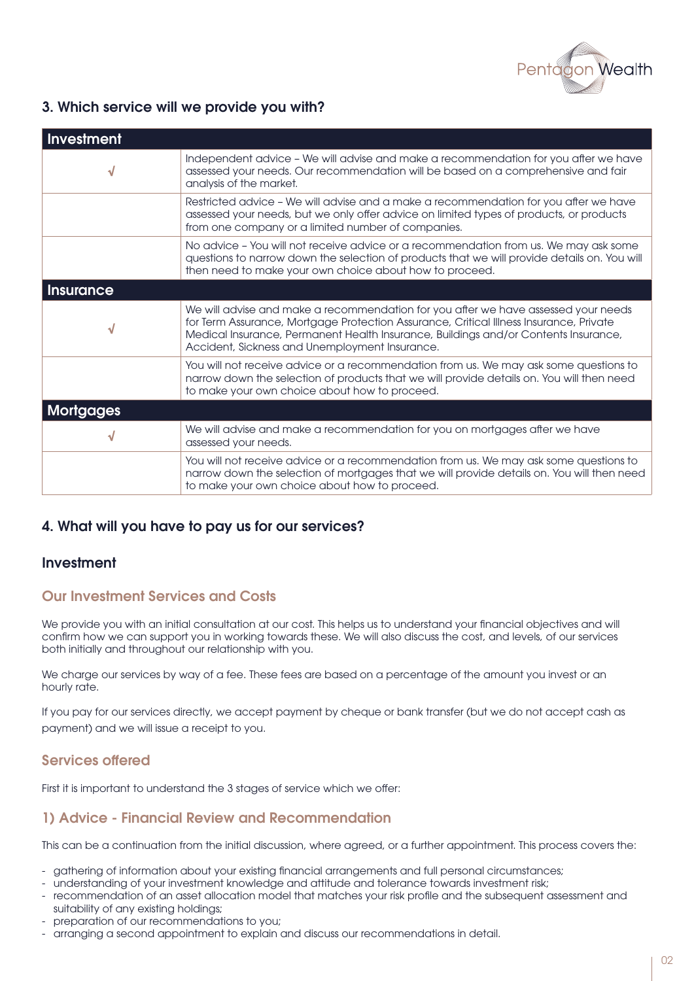

## 3. Which service will we provide you with?

| Investment       |                                                                                                                                                                                                                                                                                                                       |
|------------------|-----------------------------------------------------------------------------------------------------------------------------------------------------------------------------------------------------------------------------------------------------------------------------------------------------------------------|
| $\sqrt{}$        | Independent advice - We will advise and make a recommendation for you after we have<br>assessed your needs. Our recommendation will be based on a comprehensive and fair<br>analysis of the market.                                                                                                                   |
|                  | Restricted advice - We will advise and a make a recommendation for you after we have<br>assessed your needs, but we only offer advice on limited types of products, or products<br>from one company or a limited number of companies.                                                                                 |
|                  | No advice - You will not receive advice or a recommendation from us. We may ask some<br>questions to narrow down the selection of products that we will provide details on. You will<br>then need to make your own choice about how to proceed.                                                                       |
| Insurance        |                                                                                                                                                                                                                                                                                                                       |
| N                | We will advise and make a recommendation for you after we have assessed your needs<br>for Term Assurance, Mortgage Protection Assurance, Critical Illness Insurance, Private<br>Medical Insurance, Permanent Health Insurance, Buildings and/or Contents Insurance,<br>Accident, Sickness and Unemployment Insurance. |
|                  | You will not receive advice or a recommendation from us. We may ask some questions to<br>narrow down the selection of products that we will provide details on. You will then need<br>to make your own choice about how to proceed.                                                                                   |
| <b>Mortgages</b> |                                                                                                                                                                                                                                                                                                                       |
|                  | We will advise and make a recommendation for you on mortgages after we have<br>assessed your needs.                                                                                                                                                                                                                   |
|                  | You will not receive advice or a recommendation from us. We may ask some questions to<br>narrow down the selection of mortgages that we will provide details on. You will then need<br>to make your own choice about how to proceed.                                                                                  |

## 4. What will you have to pay us for our services?

#### Investment

#### Our Investment Services and Costs

We provide you with an initial consultation at our cost. This helps us to understand your financial objectives and will confirm how we can support you in working towards these. We will also discuss the cost, and levels, of our services both initially and throughout our relationship with you.

We charge our services by way of a fee. These fees are based on a percentage of the amount you invest or an hourly rate.

If you pay for our services directly, we accept payment by cheque or bank transfer (but we do not accept cash as payment) and we will issue a receipt to you.

#### Services offered

First it is important to understand the 3 stages of service which we offer:

#### 1) Advice - Financial Review and Recommendation

This can be a continuation from the initial discussion, where agreed, or a further appointment. This process covers the:

- gathering of information about your existing financial arrangements and full personal circumstances;
- understanding of your investment knowledge and attitude and tolerance towards investment risk;
- recommendation of an asset allocation model that matches your risk profile and the subsequent assessment and suitability of any existing holdings;
- preparation of our recommendations to you;
- arranging a second appointment to explain and discuss our recommendations in detail.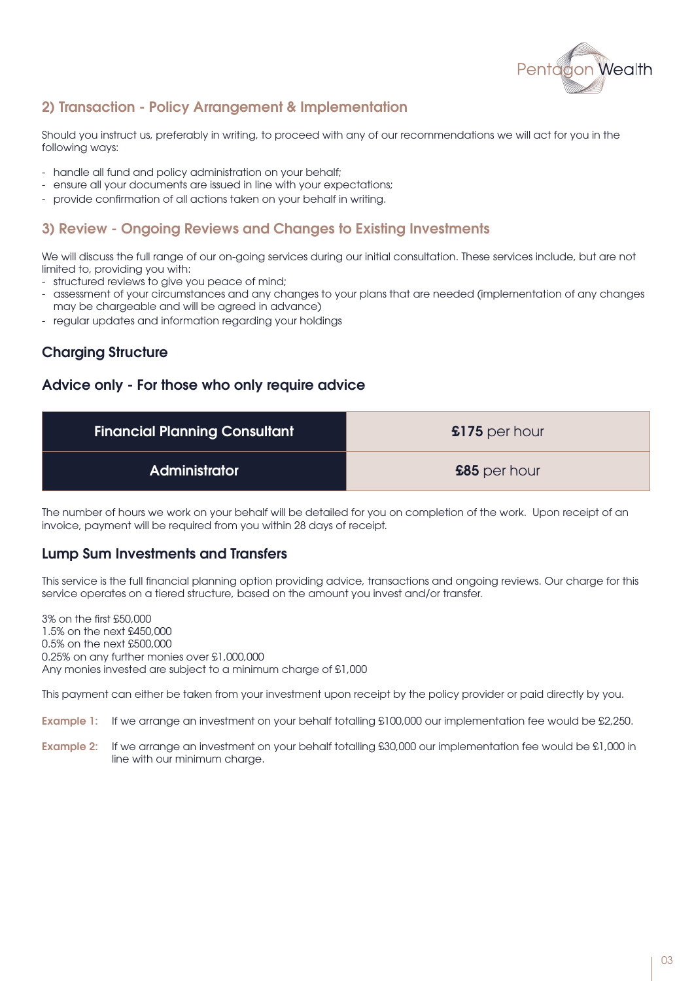

## 2) Transaction - Policy Arrangement & Implementation

Should you instruct us, preferably in writing, to proceed with any of our recommendations we will act for you in the following ways:

- handle all fund and policy administration on your behalf;
- ensure all your documents are issued in line with your expectations;
- provide confirmation of all actions taken on your behalf in writing.

### 3) Review - Ongoing Reviews and Changes to Existing Investments

We will discuss the full range of our on-going services during our initial consultation. These services include, but are not limited to, providing you with:

- structured reviews to give you peace of mind;
- assessment of your circumstances and any changes to your plans that are needed (implementation of any changes may be chargeable and will be agreed in advance)
- regular updates and information regarding your holdings

## Charging Structure

#### Advice only - For those who only require advice

| <b>Financial Planning Consultant</b> | $$175$ per hour |
|--------------------------------------|-----------------|
| <b>Administrator</b>                 | £85 per hour    |

The number of hours we work on your behalf will be detailed for you on completion of the work. Upon receipt of an invoice, payment will be required from you within 28 days of receipt.

#### Lump Sum Investments and Transfers

This service is the full financial planning option providing advice, transactions and ongoing reviews. Our charge for this service operates on a tiered structure, based on the amount you invest and/or transfer.

3% on the first £50,000 1.5% on the next £450,000 0.5% on the next £500,000 0.25% on any further monies over £1,000,000 Any monies invested are subject to a minimum charge of £1,000

This payment can either be taken from your investment upon receipt by the policy provider or paid directly by you.

Example 1: If we arrange an investment on your behalf totalling £100,000 our implementation fee would be £2,250.

Example 2: If we arrange an investment on your behalf totalling £30,000 our implementation fee would be £1,000 in line with our minimum charge.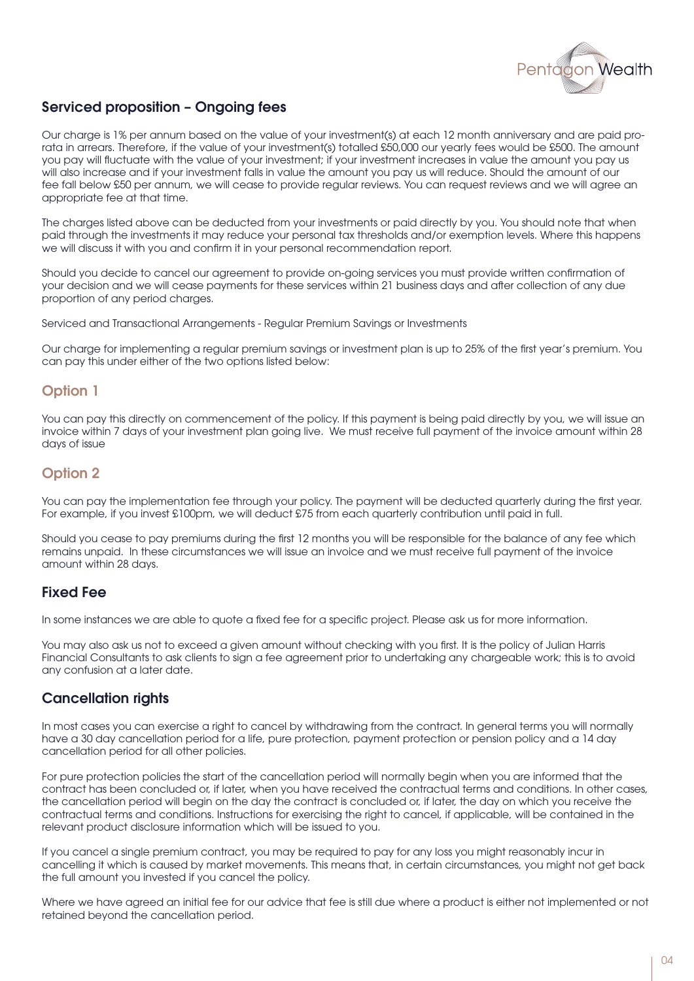

## Serviced proposition – Ongoing fees

Our charge is 1% per annum based on the value of your investment(s) at each 12 month anniversary and are paid prorata in arrears. Therefore, if the value of your investment(s) totalled £50,000 our yearly fees would be £500. The amount you pay will fluctuate with the value of your investment; if your investment increases in value the amount you pay us will also increase and if your investment falls in value the amount you pay us will reduce. Should the amount of our fee fall below £50 per annum, we will cease to provide regular reviews. You can request reviews and we will agree an appropriate fee at that time.

The charges listed above can be deducted from your investments or paid directly by you. You should note that when paid through the investments it may reduce your personal tax thresholds and/or exemption levels. Where this happens we will discuss it with you and confirm it in your personal recommendation report.

Should you decide to cancel our agreement to provide on-going services you must provide written confirmation of your decision and we will cease payments for these services within 21 business days and after collection of any due proportion of any period charges.

Serviced and Transactional Arrangements - Regular Premium Savings or Investments

Our charge for implementing a regular premium savings or investment plan is up to 25% of the first year's premium. You can pay this under either of the two options listed below:

## Option 1

You can pay this directly on commencement of the policy. If this payment is being paid directly by you, we will issue an invoice within 7 days of your investment plan going live. We must receive full payment of the invoice amount within 28 days of issue

## Option 2

You can pay the implementation fee through your policy. The payment will be deducted quarterly during the first year. For example, if you invest £100pm, we will deduct £75 from each quarterly contribution until paid in full.

Should you cease to pay premiums during the first 12 months you will be responsible for the balance of any fee which remains unpaid. In these circumstances we will issue an invoice and we must receive full payment of the invoice amount within 28 days.

## Fixed Fee

In some instances we are able to quote a fixed fee for a specific project. Please ask us for more information.

You may also ask us not to exceed a given amount without checking with you first. It is the policy of Julian Harris Financial Consultants to ask clients to sign a fee agreement prior to undertaking any chargeable work; this is to avoid any confusion at a later date.

## Cancellation rights

In most cases you can exercise a right to cancel by withdrawing from the contract. In general terms you will normally have a 30 day cancellation period for a life, pure protection, payment protection or pension policy and a 14 day cancellation period for all other policies.

For pure protection policies the start of the cancellation period will normally begin when you are informed that the contract has been concluded or, if later, when you have received the contractual terms and conditions. In other cases, the cancellation period will begin on the day the contract is concluded or, if later, the day on which you receive the contractual terms and conditions. Instructions for exercising the right to cancel, if applicable, will be contained in the relevant product disclosure information which will be issued to you.

If you cancel a single premium contract, you may be required to pay for any loss you might reasonably incur in cancelling it which is caused by market movements. This means that, in certain circumstances, you might not get back the full amount you invested if you cancel the policy.

Where we have agreed an initial fee for our advice that fee is still due where a product is either not implemented or not retained beyond the cancellation period.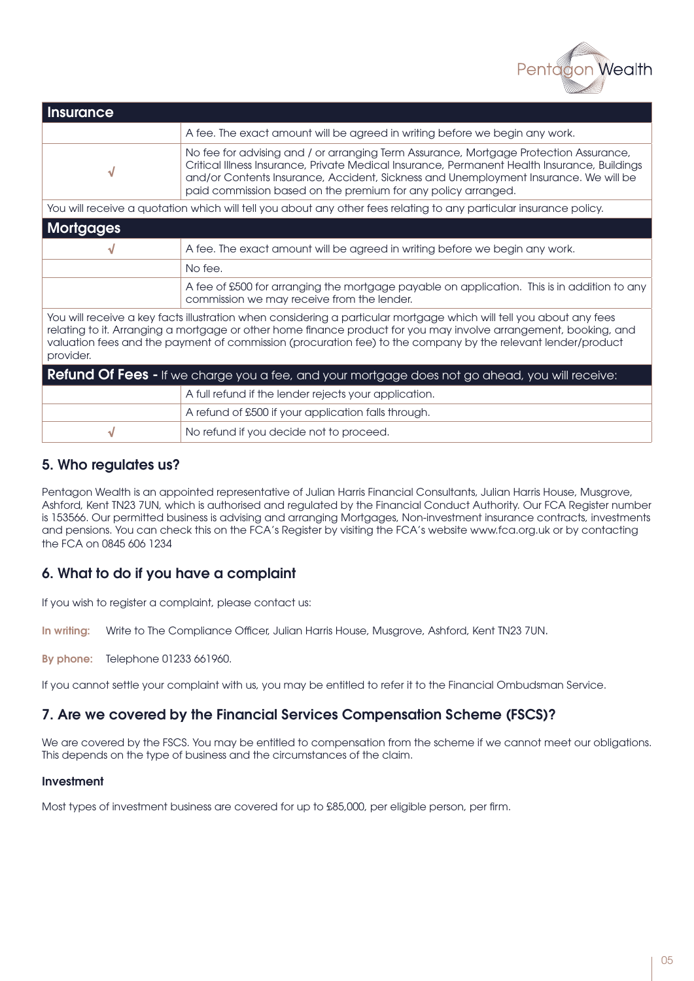

| <b>Insurance</b>                                                                                                                                                                                                                                                                                                                                                     |                                                                                                                                                                                                                                                                                                                                                |  |
|----------------------------------------------------------------------------------------------------------------------------------------------------------------------------------------------------------------------------------------------------------------------------------------------------------------------------------------------------------------------|------------------------------------------------------------------------------------------------------------------------------------------------------------------------------------------------------------------------------------------------------------------------------------------------------------------------------------------------|--|
|                                                                                                                                                                                                                                                                                                                                                                      | A fee. The exact amount will be agreed in writing before we begin any work.                                                                                                                                                                                                                                                                    |  |
| √                                                                                                                                                                                                                                                                                                                                                                    | No fee for advising and / or arranging Term Assurance, Mortgage Protection Assurance,<br>Critical Illness Insurance, Private Medical Insurance, Permanent Health Insurance, Buildings<br>and/or Contents Insurance, Accident, Sickness and Unemployment Insurance. We will be<br>paid commission based on the premium for any policy arranged. |  |
| You will receive a quotation which will tell you about any other fees relating to any particular insurance policy.                                                                                                                                                                                                                                                   |                                                                                                                                                                                                                                                                                                                                                |  |
| <b>Mortgages</b>                                                                                                                                                                                                                                                                                                                                                     |                                                                                                                                                                                                                                                                                                                                                |  |
| √                                                                                                                                                                                                                                                                                                                                                                    | A fee. The exact amount will be agreed in writing before we begin any work.                                                                                                                                                                                                                                                                    |  |
|                                                                                                                                                                                                                                                                                                                                                                      | No fee.                                                                                                                                                                                                                                                                                                                                        |  |
|                                                                                                                                                                                                                                                                                                                                                                      | A fee of £500 for arranging the mortgage payable on application. This is in addition to any<br>commission we may receive from the lender.                                                                                                                                                                                                      |  |
| You will receive a key facts illustration when considering a particular mortgage which will tell you about any fees<br>relating to it. Arranging a mortgage or other home finance product for you may involve arrangement, booking, and<br>valuation fees and the payment of commission (procuration fee) to the company by the relevant lender/product<br>provider. |                                                                                                                                                                                                                                                                                                                                                |  |
| <b>Refund Of Fees -</b> If we charge you a fee, and your mortgage does not go ahead, you will receive:                                                                                                                                                                                                                                                               |                                                                                                                                                                                                                                                                                                                                                |  |
|                                                                                                                                                                                                                                                                                                                                                                      | A full refund if the lender rejects your application.                                                                                                                                                                                                                                                                                          |  |
|                                                                                                                                                                                                                                                                                                                                                                      | A refund of £500 if your application falls through.                                                                                                                                                                                                                                                                                            |  |

#### 5. Who regulates us?

Pentagon Wealth is an appointed representative of Julian Harris Financial Consultants, Julian Harris House, Musgrove, Ashford, Kent TN23 7UN, which is authorised and regulated by the Financial Conduct Authority. Our FCA Register number is 153566. Our permitted business is advising and arranging Mortgages, Non-investment insurance contracts, investments and pensions. You can check this on the FCA's Register by visiting the FCA's website www.fca.org.uk or by contacting the FCA on 0845 606 1234

#### 6. What to do if you have a complaint

If you wish to register a complaint, please contact us:

In writing: Write to The Compliance Officer, Julian Harris House, Musgrove, Ashford, Kent TN23 7UN.

√ No refund if you decide not to proceed.

By phone: Telephone 01233 661960.

If you cannot settle your complaint with us, you may be entitled to refer it to the Financial Ombudsman Service.

#### 7. Are we covered by the Financial Services Compensation Scheme (FSCS)?

We are covered by the FSCS. You may be entitled to compensation from the scheme if we cannot meet our obligations. This depends on the type of business and the circumstances of the claim.

#### Investment

Most types of investment business are covered for up to £85,000, per eligible person, per firm.